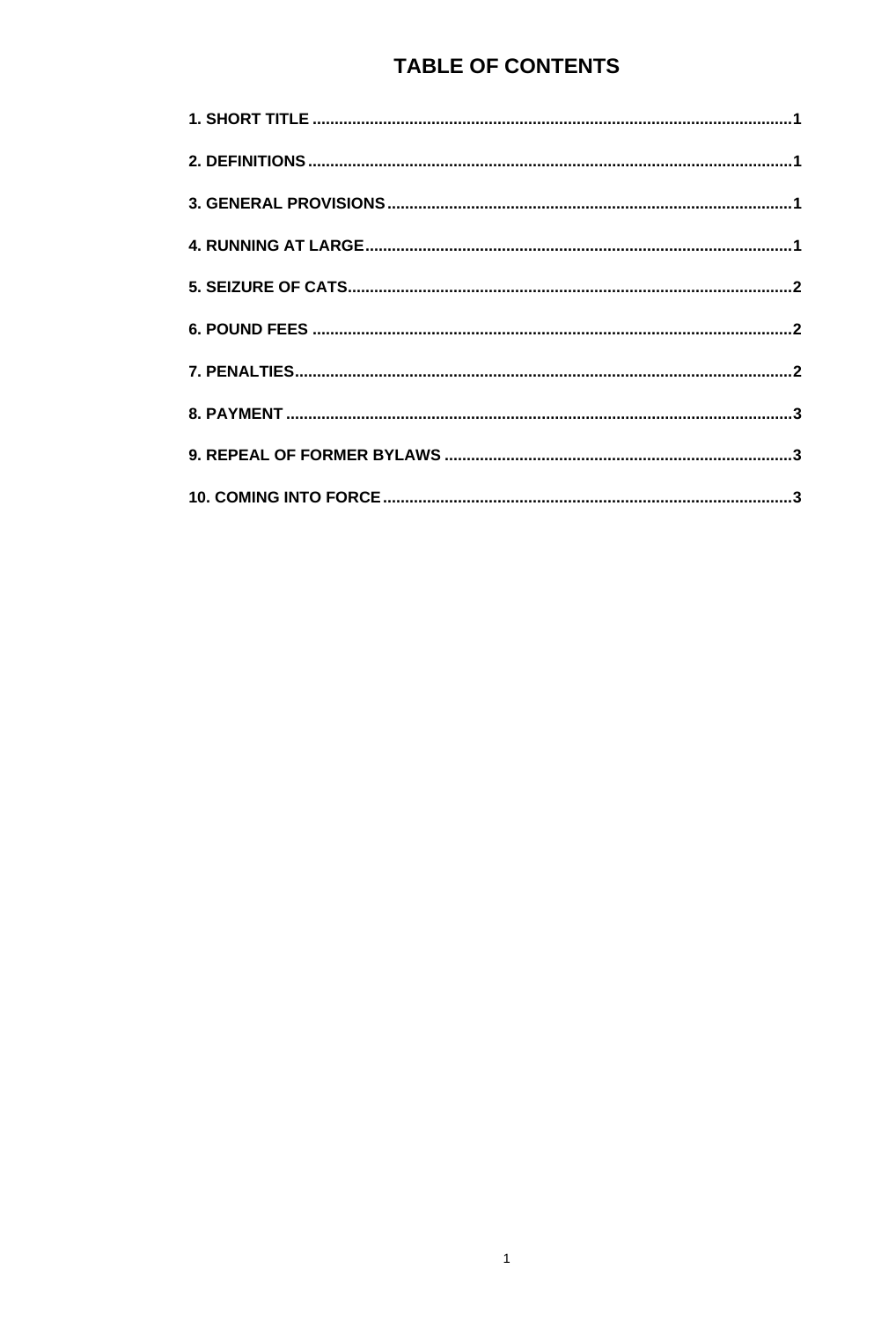# **TABLE OF CONTENTS**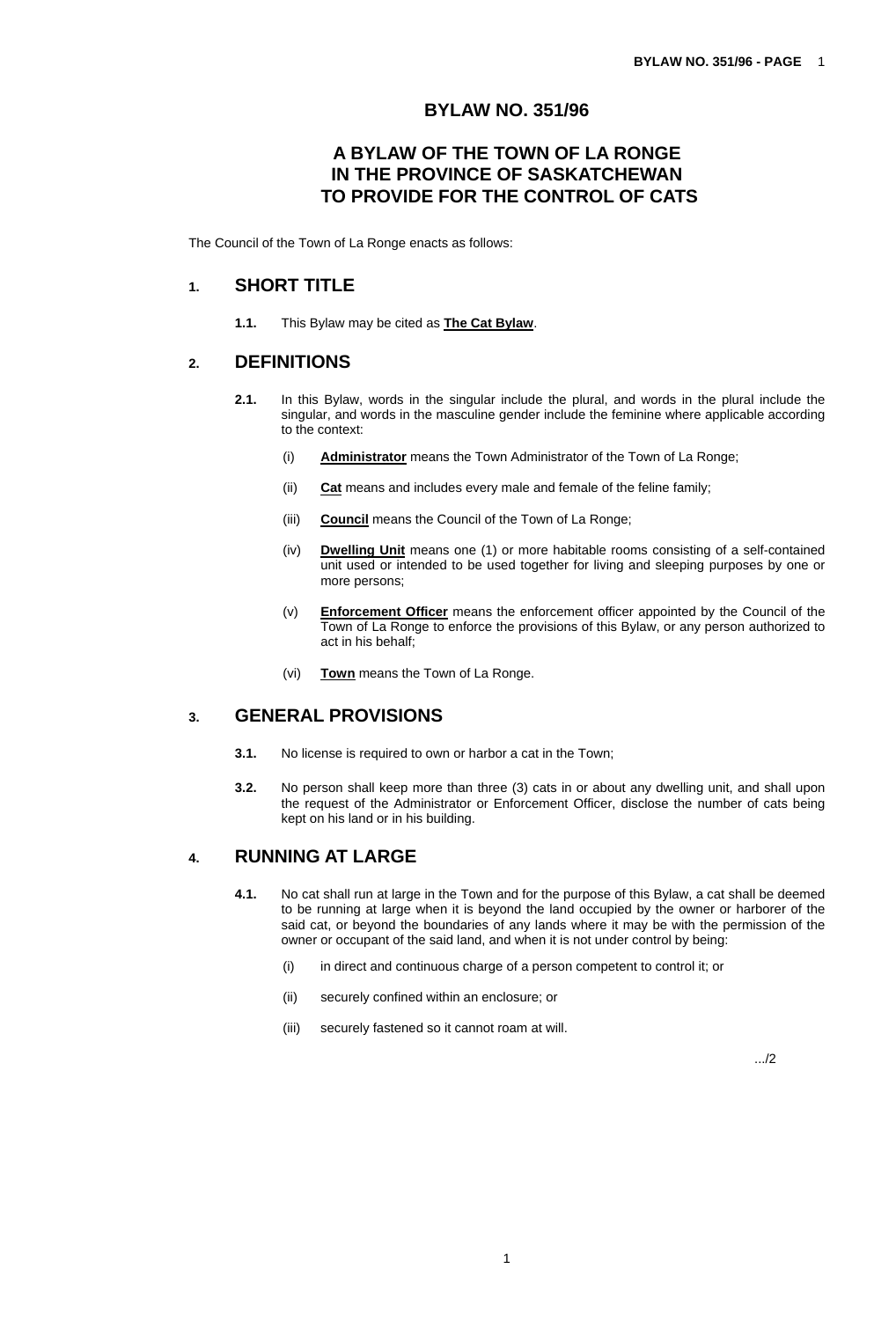#### **BYLAW NO. 351/96**

## **A BYLAW OF THE TOWN OF LA RONGE IN THE PROVINCE OF SASKATCHEWAN TO PROVIDE FOR THE CONTROL OF CATS**

<span id="page-1-0"></span>The Council of the Town of La Ronge enacts as follows:

### **1. SHORT TITLE**

**1.1.** This Bylaw may be cited as **The Cat Bylaw**.

#### **2. DEFINITIONS**

- **2.1.** In this Bylaw, words in the singular include the plural, and words in the plural include the singular, and words in the masculine gender include the feminine where applicable according to the context:
	- (i) **Administrator** means the Town Administrator of the Town of La Ronge;
	- (ii) **Cat** means and includes every male and female of the feline family;
	- (iii) **Council** means the Council of the Town of La Ronge;
	- (iv) **Dwelling Unit** means one (1) or more habitable rooms consisting of a self-contained unit used or intended to be used together for living and sleeping purposes by one or more persons;
	- (v) **Enforcement Officer** means the enforcement officer appointed by the Council of the Town of La Ronge to enforce the provisions of this Bylaw, or any person authorized to act in his behalf;
	- (vi) **Town** means the Town of La Ronge.

## **3. GENERAL PROVISIONS**

- **3.1.** No license is required to own or harbor a cat in the Town;
- **3.2.** No person shall keep more than three (3) cats in or about any dwelling unit, and shall upon the request of the Administrator or Enforcement Officer, disclose the number of cats being kept on his land or in his building.

## **4. RUNNING AT LARGE**

- **4.1.** No cat shall run at large in the Town and for the purpose of this Bylaw, a cat shall be deemed to be running at large when it is beyond the land occupied by the owner or harborer of the said cat, or beyond the boundaries of any lands where it may be with the permission of the owner or occupant of the said land, and when it is not under control by being:
	- (i) in direct and continuous charge of a person competent to control it; or
	- (ii) securely confined within an enclosure; or
	- (iii) securely fastened so it cannot roam at will.

.../2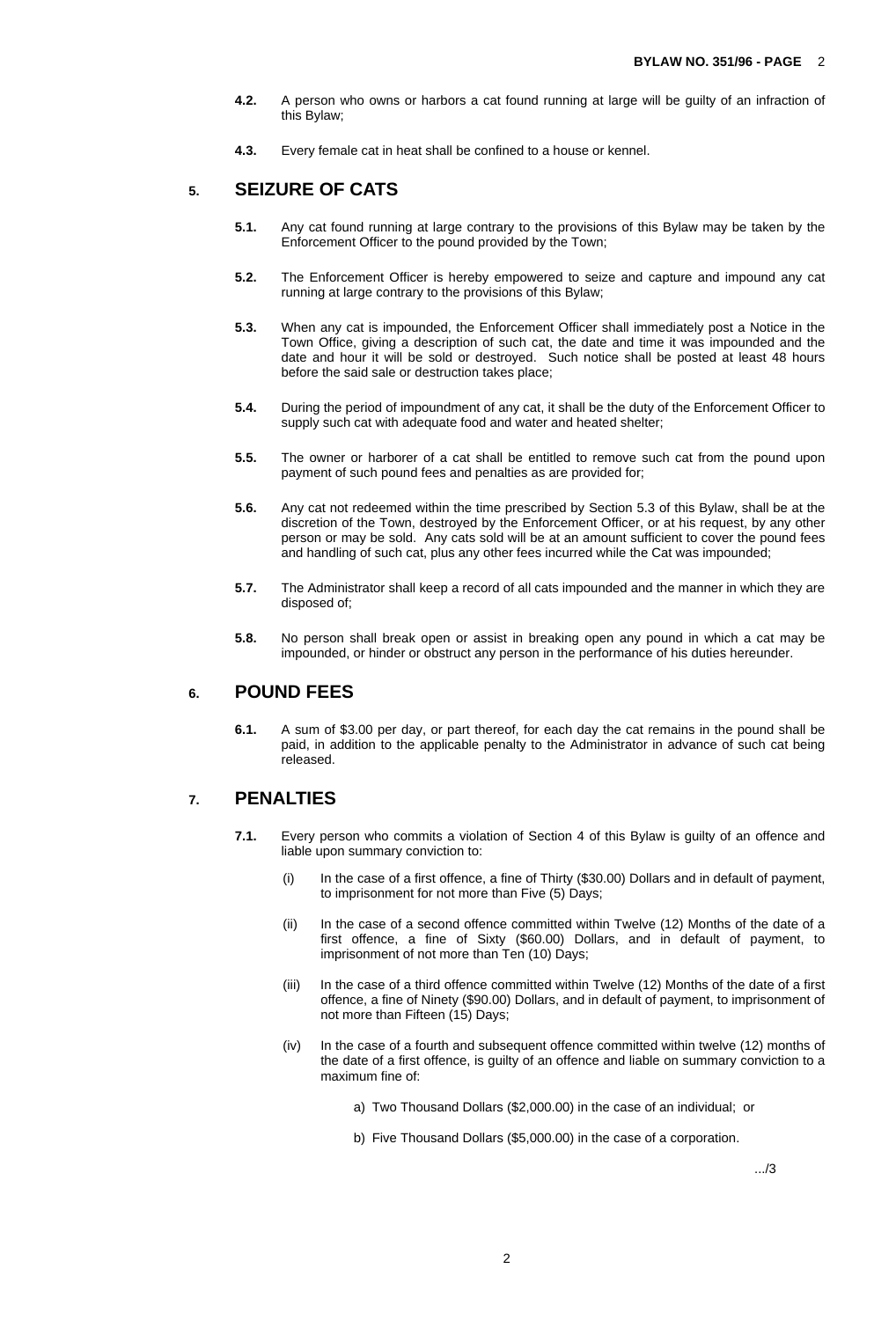- <span id="page-2-0"></span>**4.2.** A person who owns or harbors a cat found running at large will be guilty of an infraction of this Bylaw;
- **4.3.** Every female cat in heat shall be confined to a house or kennel.

## **5. SEIZURE OF CATS**

- **5.1.** Any cat found running at large contrary to the provisions of this Bylaw may be taken by the Enforcement Officer to the pound provided by the Town;
- **5.2.** The Enforcement Officer is hereby empowered to seize and capture and impound any cat running at large contrary to the provisions of this Bylaw;
- **5.3.** When any cat is impounded, the Enforcement Officer shall immediately post a Notice in the Town Office, giving a description of such cat, the date and time it was impounded and the date and hour it will be sold or destroyed. Such notice shall be posted at least 48 hours before the said sale or destruction takes place;
- **5.4.** During the period of impoundment of any cat, it shall be the duty of the Enforcement Officer to supply such cat with adequate food and water and heated shelter;
- **5.5.** The owner or harborer of a cat shall be entitled to remove such cat from the pound upon payment of such pound fees and penalties as are provided for;
- **5.6.** Any cat not redeemed within the time prescribed by Section 5.3 of this Bylaw, shall be at the discretion of the Town, destroyed by the Enforcement Officer, or at his request, by any other person or may be sold. Any cats sold will be at an amount sufficient to cover the pound fees and handling of such cat, plus any other fees incurred while the Cat was impounded;
- **5.7.** The Administrator shall keep a record of all cats impounded and the manner in which they are disposed of;
- **5.8.** No person shall break open or assist in breaking open any pound in which a cat may be impounded, or hinder or obstruct any person in the performance of his duties hereunder.

## **6. POUND FEES**

**6.1.** A sum of \$3.00 per day, or part thereof, for each day the cat remains in the pound shall be paid, in addition to the applicable penalty to the Administrator in advance of such cat being released.

#### **7. PENALTIES**

- **7.1.** Every person who commits a violation of Section 4 of this Bylaw is guilty of an offence and liable upon summary conviction to:
	- (i) In the case of a first offence, a fine of Thirty (\$30.00) Dollars and in default of payment, to imprisonment for not more than Five (5) Days;
	- (ii) In the case of a second offence committed within Twelve (12) Months of the date of a first offence, a fine of Sixty (\$60.00) Dollars, and in default of payment, to imprisonment of not more than Ten (10) Days;
	- (iii) In the case of a third offence committed within Twelve (12) Months of the date of a first offence, a fine of Ninety (\$90.00) Dollars, and in default of payment, to imprisonment of not more than Fifteen (15) Days;
	- (iv) In the case of a fourth and subsequent offence committed within twelve (12) months of the date of a first offence, is guilty of an offence and liable on summary conviction to a maximum fine of:
		- a) Two Thousand Dollars (\$2,000.00) in the case of an individual; or
		- b) Five Thousand Dollars (\$5,000.00) in the case of a corporation.

.../3